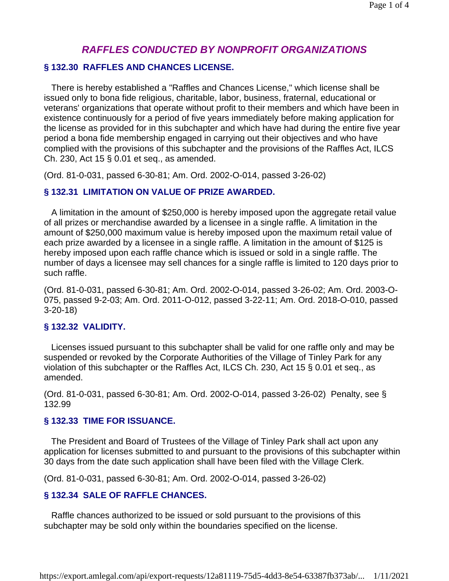# *RAFFLES CONDUCTED BY NONPROFIT ORGANIZATIONS*

### **§ 132.30 RAFFLES AND CHANCES LICENSE.**

 There is hereby established a "Raffles and Chances License," which license shall be issued only to bona fide religious, charitable, labor, business, fraternal, educational or veterans' organizations that operate without profit to their members and which have been in existence continuously for a period of five years immediately before making application for the license as provided for in this subchapter and which have had during the entire five year period a bona fide membership engaged in carrying out their objectives and who have complied with the provisions of this subchapter and the provisions of the Raffles Act, ILCS Ch. 230, Act 15 § 0.01 et seq., as amended.

(Ord. 81-0-031, passed 6-30-81; Am. Ord. 2002-O-014, passed 3-26-02)

### **§ 132.31 LIMITATION ON VALUE OF PRIZE AWARDED.**

 A limitation in the amount of \$250,000 is hereby imposed upon the aggregate retail value of all prizes or merchandise awarded by a licensee in a single raffle. A limitation in the amount of \$250,000 maximum value is hereby imposed upon the maximum retail value of each prize awarded by a licensee in a single raffle. A limitation in the amount of \$125 is hereby imposed upon each raffle chance which is issued or sold in a single raffle. The number of days a licensee may sell chances for a single raffle is limited to 120 days prior to such raffle.

(Ord. 81-0-031, passed 6-30-81; Am. Ord. 2002-O-014, passed 3-26-02; Am. Ord. 2003-O-075, passed 9-2-03; Am. Ord. 2011-O-012, passed 3-22-11; Am. Ord. 2018-O-010, passed 3-20-18)

### **§ 132.32 VALIDITY.**

 Licenses issued pursuant to this subchapter shall be valid for one raffle only and may be suspended or revoked by the Corporate Authorities of the Village of Tinley Park for any violation of this subchapter or the Raffles Act, ILCS Ch. 230, Act 15 § 0.01 et seq., as amended.

(Ord. 81-0-031, passed 6-30-81; Am. Ord. 2002-O-014, passed 3-26-02) Penalty, see § 132.99

### **§ 132.33 TIME FOR ISSUANCE.**

 The President and Board of Trustees of the Village of Tinley Park shall act upon any application for licenses submitted to and pursuant to the provisions of this subchapter within 30 days from the date such application shall have been filed with the Village Clerk.

(Ord. 81-0-031, passed 6-30-81; Am. Ord. 2002-O-014, passed 3-26-02)

### **§ 132.34 SALE OF RAFFLE CHANCES.**

 Raffle chances authorized to be issued or sold pursuant to the provisions of this subchapter may be sold only within the boundaries specified on the license.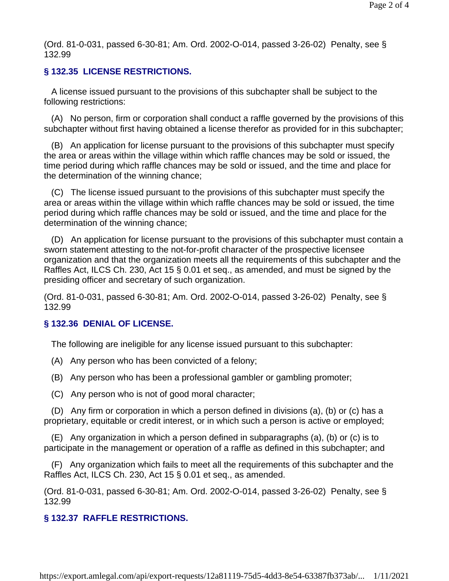(Ord. 81-0-031, passed 6-30-81; Am. Ord. 2002-O-014, passed 3-26-02) Penalty, see § 132.99

## **§ 132.35 LICENSE RESTRICTIONS.**

 A license issued pursuant to the provisions of this subchapter shall be subject to the following restrictions:

 (A) No person, firm or corporation shall conduct a raffle governed by the provisions of this subchapter without first having obtained a license therefor as provided for in this subchapter;

 (B) An application for license pursuant to the provisions of this subchapter must specify the area or areas within the village within which raffle chances may be sold or issued, the time period during which raffle chances may be sold or issued, and the time and place for the determination of the winning chance;

 (C) The license issued pursuant to the provisions of this subchapter must specify the area or areas within the village within which raffle chances may be sold or issued, the time period during which raffle chances may be sold or issued, and the time and place for the determination of the winning chance;

 (D) An application for license pursuant to the provisions of this subchapter must contain a sworn statement attesting to the not-for-profit character of the prospective licensee organization and that the organization meets all the requirements of this subchapter and the Raffles Act, ILCS Ch. 230, Act 15 § 0.01 et seq., as amended, and must be signed by the presiding officer and secretary of such organization.

(Ord. 81-0-031, passed 6-30-81; Am. Ord. 2002-O-014, passed 3-26-02) Penalty, see § 132.99

## **§ 132.36 DENIAL OF LICENSE.**

The following are ineligible for any license issued pursuant to this subchapter:

- (A) Any person who has been convicted of a felony;
- (B) Any person who has been a professional gambler or gambling promoter;
- (C) Any person who is not of good moral character;

 (D) Any firm or corporation in which a person defined in divisions (a), (b) or (c) has a proprietary, equitable or credit interest, or in which such a person is active or employed;

 (E) Any organization in which a person defined in subparagraphs (a), (b) or (c) is to participate in the management or operation of a raffle as defined in this subchapter; and

 (F) Any organization which fails to meet all the requirements of this subchapter and the Raffles Act, ILCS Ch. 230, Act 15 § 0.01 et seq., as amended.

(Ord. 81-0-031, passed 6-30-81; Am. Ord. 2002-O-014, passed 3-26-02) Penalty, see § 132.99

# **§ 132.37 RAFFLE RESTRICTIONS.**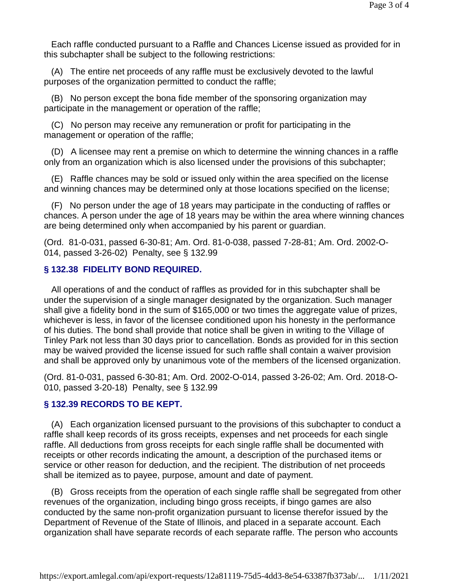Each raffle conducted pursuant to a Raffle and Chances License issued as provided for in this subchapter shall be subject to the following restrictions:

 (A) The entire net proceeds of any raffle must be exclusively devoted to the lawful purposes of the organization permitted to conduct the raffle;

 (B) No person except the bona fide member of the sponsoring organization may participate in the management or operation of the raffle;

 (C) No person may receive any remuneration or profit for participating in the management or operation of the raffle;

 (D) A licensee may rent a premise on which to determine the winning chances in a raffle only from an organization which is also licensed under the provisions of this subchapter;

 (E) Raffle chances may be sold or issued only within the area specified on the license and winning chances may be determined only at those locations specified on the license;

 (F) No person under the age of 18 years may participate in the conducting of raffles or chances. A person under the age of 18 years may be within the area where winning chances are being determined only when accompanied by his parent or guardian.

(Ord. 81-0-031, passed 6-30-81; Am. Ord. 81-0-038, passed 7-28-81; Am. Ord. 2002-O-014, passed 3-26-02) Penalty, see § 132.99

### **§ 132.38 FIDELITY BOND REQUIRED.**

 All operations of and the conduct of raffles as provided for in this subchapter shall be under the supervision of a single manager designated by the organization. Such manager shall give a fidelity bond in the sum of \$165,000 or two times the aggregate value of prizes, whichever is less, in favor of the licensee conditioned upon his honesty in the performance of his duties. The bond shall provide that notice shall be given in writing to the Village of Tinley Park not less than 30 days prior to cancellation. Bonds as provided for in this section may be waived provided the license issued for such raffle shall contain a waiver provision and shall be approved only by unanimous vote of the members of the licensed organization.

(Ord. 81-0-031, passed 6-30-81; Am. Ord. 2002-O-014, passed 3-26-02; Am. Ord. 2018-O-010, passed 3-20-18) Penalty, see § 132.99

### **§ 132.39 RECORDS TO BE KEPT.**

 (A) Each organization licensed pursuant to the provisions of this subchapter to conduct a raffle shall keep records of its gross receipts, expenses and net proceeds for each single raffle. All deductions from gross receipts for each single raffle shall be documented with receipts or other records indicating the amount, a description of the purchased items or service or other reason for deduction, and the recipient. The distribution of net proceeds shall be itemized as to payee, purpose, amount and date of payment.

 (B) Gross receipts from the operation of each single raffle shall be segregated from other revenues of the organization, including bingo gross receipts, if bingo games are also conducted by the same non-profit organization pursuant to license therefor issued by the Department of Revenue of the State of Illinois, and placed in a separate account. Each organization shall have separate records of each separate raffle. The person who accounts